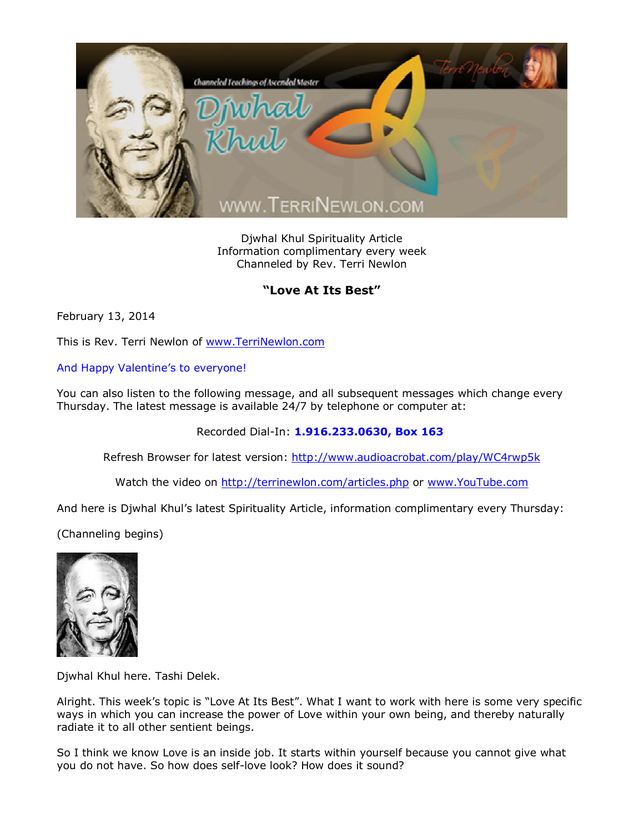

Djwhal Khul Spirituality Article Information complimentary every week Channeled by Rev. Terri Newlon

## **"Love At Its Best"**

February 13, 2014

This is Rev. Terri Newlon of [www.TerriNewlon.com](http://www.terrinewlon.com/)

And Happy Valentine's to everyone!

You can also listen to the following message, and all subsequent messages which change every Thursday. The latest message is available 24/7 by telephone or computer at:

Recorded Dial-In: **1.916.233.0630, Box 163**

Refresh Browser for latest version: <http://www.audioacrobat.com/play/WC4rwp5k>

Watch the video on <http://terrinewlon.com/articles.php> or [www.YouTube.com](http://www.youtube.com/)

And here is Djwhal Khul's latest Spirituality Article, information complimentary every Thursday:

(Channeling begins)



Djwhal Khul here. Tashi Delek.

Alright. This week's topic is "Love At Its Best". What I want to work with here is some very specific ways in which you can increase the power of Love within your own being, and thereby naturally radiate it to all other sentient beings.

So I think we know Love is an inside job. It starts within yourself because you cannot give what you do not have. So how does self-love look? How does it sound?